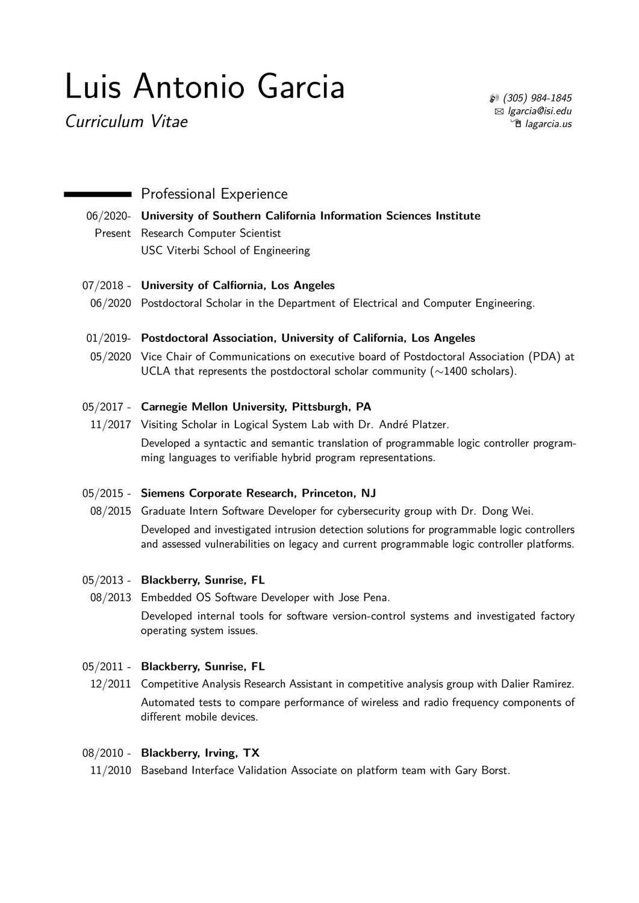# Luis Antonio Garcia

Curriculum Vitae

H (305) 984-1845 B [lgarcia@isi.edu](mailto:lgarcia@isi.edu) <sup>n</sup> [lagarcia.us](http://lagarcia.us)

# **Professional Experience**

06/2020- **University of Southern California Information Sciences Institute**

Present Research Computer Scientist USC Viterbi School of Engineering

## 07/2018 - **University of Calfiornia, Los Angeles**

06/2020 Postdoctoral Scholar in the Department of Electrical and Computer Engineering.

## 01/2019- **Postdoctoral Association, University of California, Los Angeles**

05/2020 Vice Chair of Communications on executive board of Postdoctoral Association (PDA) at UCLA that represents the postdoctoral scholar community (~1400 scholars).

## 05/2017 - **Carnegie Mellon University, Pittsburgh, PA**

11/2017 Visiting Scholar in Logical System Lab with Dr. André Platzer. Developed a syntactic and semantic translation of programmable logic controller programming languages to verifiable hybrid program representations.

# 05/2015 - **Siemens Corporate Research, Princeton, NJ**

08/2015 Graduate Intern Software Developer for cybersecurity group with Dr. Dong Wei. Developed and investigated intrusion detection solutions for programmable logic controllers and assessed vulnerabilities on legacy and current programmable logic controller platforms.

## 05/2013 - **Blackberry, Sunrise, FL**

08/2013 Embedded OS Software Developer with Jose Pena. Developed internal tools for software version-control systems and investigated factory operating system issues.

## 05/2011 - **Blackberry, Sunrise, FL**

12/2011 Competitive Analysis Research Assistant in competitive analysis group with Dalier Ramirez. Automated tests to compare performance of wireless and radio frequency components of different mobile devices.

## 08/2010 - **Blackberry, Irving, TX**

11/2010 Baseband Interface Validation Associate on platform team with Gary Borst.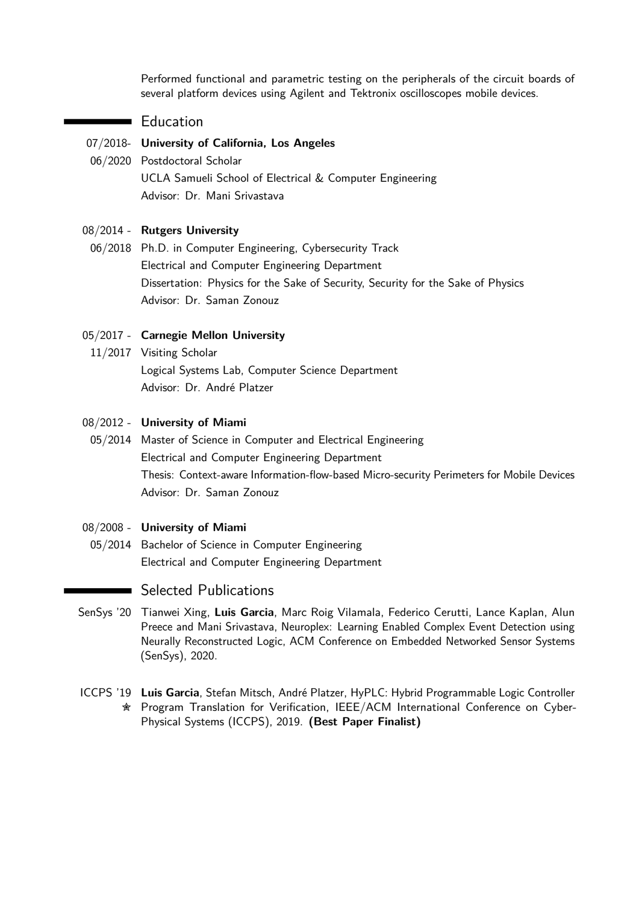Performed functional and parametric testing on the peripherals of the circuit boards of several platform devices using Agilent and Tektronix oscilloscopes mobile devices.

## $\equiv$  Education

#### 07/2018- **University of California, Los Angeles**

06/2020 Postdoctoral Scholar UCLA Samueli School of Electrical & Computer Engineering Advisor: Dr. Mani Srivastava

## 08/2014 - **Rutgers University**

06/2018 Ph.D. in Computer Engineering, Cybersecurity Track Electrical and Computer Engineering Department Dissertation: Physics for the Sake of Security, Security for the Sake of Physics Advisor: Dr. Saman Zonouz

## 05/2017 - **Carnegie Mellon University**

11/2017 Visiting Scholar Logical Systems Lab, Computer Science Department Advisor: Dr. André Platzer

#### 08/2012 - **University of Miami**

05/2014 Master of Science in Computer and Electrical Engineering Electrical and Computer Engineering Department Thesis: Context-aware Information-flow-based Micro-security Perimeters for Mobile Devices Advisor: Dr. Saman Zonouz

#### 08/2008 - **University of Miami**

05/2014 Bachelor of Science in Computer Engineering Electrical and Computer Engineering Department

# **Selected Publications**

- SenSys '20 Tianwei Xing, **Luis Garcia**, Marc Roig Vilamala, Federico Cerutti, Lance Kaplan, Alun Preece and Mani Srivastava, Neuroplex: Learning Enabled Complex Event Detection using Neurally Reconstructed Logic, ACM Conference on Embedded Networked Sensor Systems (SenSys), 2020.
- ICCPS '19 **Luis Garcia**, Stefan Mitsch, André Platzer, HyPLC: Hybrid Programmable Logic Controller ✮ Program Translation for Verification, IEEE/ACM International Conference on Cyber-Physical Systems (ICCPS), 2019. **(Best Paper Finalist)**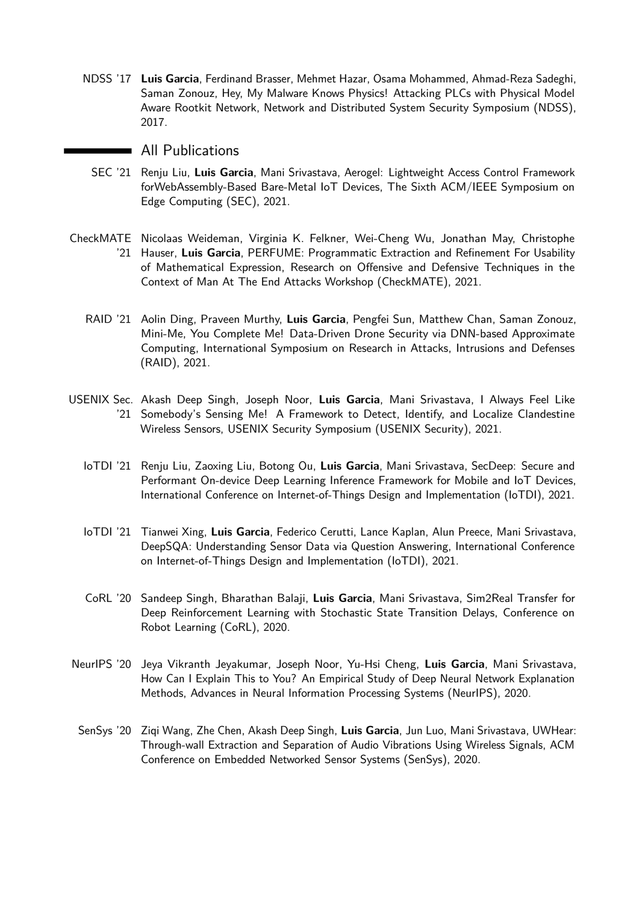NDSS '17 **Luis Garcia**, Ferdinand Brasser, Mehmet Hazar, Osama Mohammed, Ahmad-Reza Sadeghi, Saman Zonouz, Hey, My Malware Knows Physics! Attacking PLCs with Physical Model Aware Rootkit Network, Network and Distributed System Security Symposium (NDSS), 2017.

## All Publications

- SEC '21 Renju Liu, **Luis Garcia**, Mani Srivastava, Aerogel: Lightweight Access Control Framework forWebAssembly-Based Bare-Metal IoT Devices, The Sixth ACM/IEEE Symposium on Edge Computing (SEC), 2021.
- CheckMATE Nicolaas Weideman, Virginia K. Felkner, Wei-Cheng Wu, Jonathan May, Christophe '21 Hauser, **Luis Garcia**, PERFUME: Programmatic Extraction and Refinement For Usability of Mathematical Expression, Research on Offensive and Defensive Techniques in the Context of Man At The End Attacks Workshop (CheckMATE), 2021.
	- RAID '21 Aolin Ding, Praveen Murthy, **Luis Garcia**, Pengfei Sun, Matthew Chan, Saman Zonouz, Mini-Me, You Complete Me! Data-Driven Drone Security via DNN-based Approximate Computing, International Symposium on Research in Attacks, Intrusions and Defenses (RAID), 2021.
- USENIX Sec. Akash Deep Singh, Joseph Noor, **Luis Garcia**, Mani Srivastava, I Always Feel Like '21 Somebody's Sensing Me! A Framework to Detect, Identify, and Localize Clandestine Wireless Sensors, USENIX Security Symposium (USENIX Security), 2021.
	- IoTDI '21 Renju Liu, Zaoxing Liu, Botong Ou, **Luis Garcia**, Mani Srivastava, SecDeep: Secure and Performant On-device Deep Learning Inference Framework for Mobile and IoT Devices, International Conference on Internet-of-Things Design and Implementation (IoTDI), 2021.
	- IoTDI '21 Tianwei Xing, **Luis Garcia**, Federico Cerutti, Lance Kaplan, Alun Preece, Mani Srivastava, DeepSQA: Understanding Sensor Data via Question Answering, International Conference on Internet-of-Things Design and Implementation (IoTDI), 2021.
	- CoRL '20 Sandeep Singh, Bharathan Balaji, **Luis Garcia**, Mani Srivastava, Sim2Real Transfer for Deep Reinforcement Learning with Stochastic State Transition Delays, Conference on Robot Learning (CoRL), 2020.
- NeurIPS '20 Jeya Vikranth Jeyakumar, Joseph Noor, Yu-Hsi Cheng, **Luis Garcia**, Mani Srivastava, How Can I Explain This to You? An Empirical Study of Deep Neural Network Explanation Methods, Advances in Neural Information Processing Systems (NeurIPS), 2020.
- SenSys '20 Ziqi Wang, Zhe Chen, Akash Deep Singh, **Luis Garcia**, Jun Luo, Mani Srivastava, UWHear: Through-wall Extraction and Separation of Audio Vibrations Using Wireless Signals, ACM Conference on Embedded Networked Sensor Systems (SenSys), 2020.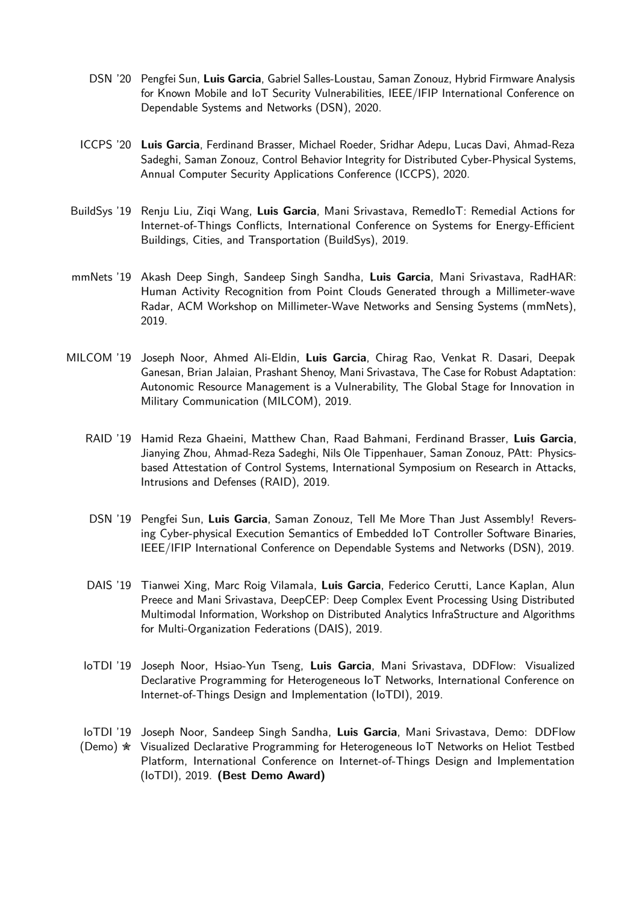- DSN '20 Pengfei Sun, **Luis Garcia**, Gabriel Salles-Loustau, Saman Zonouz, Hybrid Firmware Analysis for Known Mobile and IoT Security Vulnerabilities, IEEE/IFIP International Conference on Dependable Systems and Networks (DSN), 2020.
- ICCPS '20 **Luis Garcia**, Ferdinand Brasser, Michael Roeder, Sridhar Adepu, Lucas Davi, Ahmad-Reza Sadeghi, Saman Zonouz, Control Behavior Integrity for Distributed Cyber-Physical Systems, Annual Computer Security Applications Conference (ICCPS), 2020.
- BuildSys '19 Renju Liu, Ziqi Wang, **Luis Garcia**, Mani Srivastava, RemedIoT: Remedial Actions for Internet-of-Things Conflicts, International Conference on Systems for Energy-Efficient Buildings, Cities, and Transportation (BuildSys), 2019.
- mmNets '19 Akash Deep Singh, Sandeep Singh Sandha, **Luis Garcia**, Mani Srivastava, RadHAR: Human Activity Recognition from Point Clouds Generated through a Millimeter-wave Radar, ACM Workshop on Millimeter-Wave Networks and Sensing Systems (mmNets), 2019.
- MILCOM '19 Joseph Noor, Ahmed Ali-Eldin, **Luis Garcia**, Chirag Rao, Venkat R. Dasari, Deepak Ganesan, Brian Jalaian, Prashant Shenoy, Mani Srivastava, The Case for Robust Adaptation: Autonomic Resource Management is a Vulnerability, The Global Stage for Innovation in Military Communication (MILCOM), 2019.
	- RAID '19 Hamid Reza Ghaeini, Matthew Chan, Raad Bahmani, Ferdinand Brasser, **Luis Garcia**, Jianying Zhou, Ahmad-Reza Sadeghi, Nils Ole Tippenhauer, Saman Zonouz, PAtt: Physicsbased Attestation of Control Systems, International Symposium on Research in Attacks, Intrusions and Defenses (RAID), 2019.
	- DSN '19 Pengfei Sun, **Luis Garcia**, Saman Zonouz, Tell Me More Than Just Assembly! Reversing Cyber-physical Execution Semantics of Embedded IoT Controller Software Binaries, IEEE/IFIP International Conference on Dependable Systems and Networks (DSN), 2019.
	- DAIS '19 Tianwei Xing, Marc Roig Vilamala, **Luis Garcia**, Federico Cerutti, Lance Kaplan, Alun Preece and Mani Srivastava, DeepCEP: Deep Complex Event Processing Using Distributed Multimodal Information, Workshop on Distributed Analytics InfraStructure and Algorithms for Multi-Organization Federations (DAIS), 2019.
	- IoTDI '19 Joseph Noor, Hsiao-Yun Tseng, **Luis Garcia**, Mani Srivastava, DDFlow: Visualized Declarative Programming for Heterogeneous IoT Networks, International Conference on Internet-of-Things Design and Implementation (IoTDI), 2019.
	- IoTDI '19 Joseph Noor, Sandeep Singh Sandha, **Luis Garcia**, Mani Srivastava, Demo: DDFlow
	- (Demo)  $\hat{\mathbf{x}}$  Visualized Declarative Programming for Heterogeneous IoT Networks on Heliot Testbed Platform, International Conference on Internet-of-Things Design and Implementation (IoTDI), 2019. **(Best Demo Award)**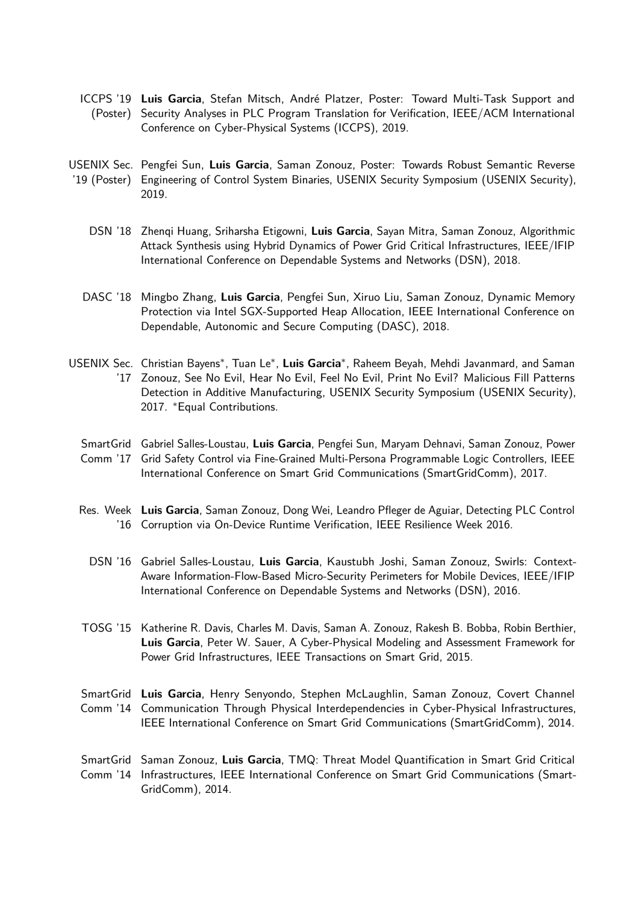- ICCPS '19 **Luis Garcia**, Stefan Mitsch, André Platzer, Poster: Toward Multi-Task Support and (Poster) Security Analyses in PLC Program Translation for Verification, IEEE/ACM International Conference on Cyber-Physical Systems (ICCPS), 2019.
- USENIX Sec. Pengfei Sun, **Luis Garcia**, Saman Zonouz, Poster: Towards Robust Semantic Reverse '19 (Poster) Engineering of Control System Binaries, USENIX Security Symposium (USENIX Security), 2019.
	- DSN '18 Zhenqi Huang, Sriharsha Etigowni, **Luis Garcia**, Sayan Mitra, Saman Zonouz, Algorithmic Attack Synthesis using Hybrid Dynamics of Power Grid Critical Infrastructures, IEEE/IFIP International Conference on Dependable Systems and Networks (DSN), 2018.
	- DASC '18 Mingbo Zhang, **Luis Garcia**, Pengfei Sun, Xiruo Liu, Saman Zonouz, Dynamic Memory Protection via Intel SGX-Supported Heap Allocation, IEEE International Conference on Dependable, Autonomic and Secure Computing (DASC), 2018.
- USENIX Sec. Christian Bayens<sup>\*</sup>, Tuan Le<sup>\*</sup>, Luis Garcia<sup>\*</sup>, Raheem Beyah, Mehdi Javanmard, and Saman '17 Zonouz, See No Evil, Hear No Evil, Feel No Evil, Print No Evil? Malicious Fill Patterns Detection in Additive Manufacturing, USENIX Security Symposium (USENIX Security), 2017. <sup>∗</sup>Equal Contributions.
	- SmartGrid Gabriel Salles-Loustau, **Luis Garcia**, Pengfei Sun, Maryam Dehnavi, Saman Zonouz, Power Comm '17 Grid Safety Control via Fine-Grained Multi-Persona Programmable Logic Controllers, IEEE

International Conference on Smart Grid Communications (SmartGridComm), 2017.

- Res. Week **Luis Garcia**, Saman Zonouz, Dong Wei, Leandro Pfleger de Aguiar, Detecting PLC Control '16 Corruption via On-Device Runtime Verification, IEEE Resilience Week 2016.
	- DSN '16 Gabriel Salles-Loustau, **Luis Garcia**, Kaustubh Joshi, Saman Zonouz, Swirls: Context-Aware Information-Flow-Based Micro-Security Perimeters for Mobile Devices, IEEE/IFIP International Conference on Dependable Systems and Networks (DSN), 2016.
- TOSG '15 Katherine R. Davis, Charles M. Davis, Saman A. Zonouz, Rakesh B. Bobba, Robin Berthier, **Luis Garcia**, Peter W. Sauer, A Cyber-Physical Modeling and Assessment Framework for Power Grid Infrastructures, IEEE Transactions on Smart Grid, 2015.

SmartGrid **Luis Garcia**, Henry Senyondo, Stephen McLaughlin, Saman Zonouz, Covert Channel Comm '14 Communication Through Physical Interdependencies in Cyber-Physical Infrastructures, IEEE International Conference on Smart Grid Communications (SmartGridComm), 2014.

SmartGrid Saman Zonouz, **Luis Garcia**, TMQ: Threat Model Quantification in Smart Grid Critical Comm '14 Infrastructures, IEEE International Conference on Smart Grid Communications (Smart-GridComm), 2014.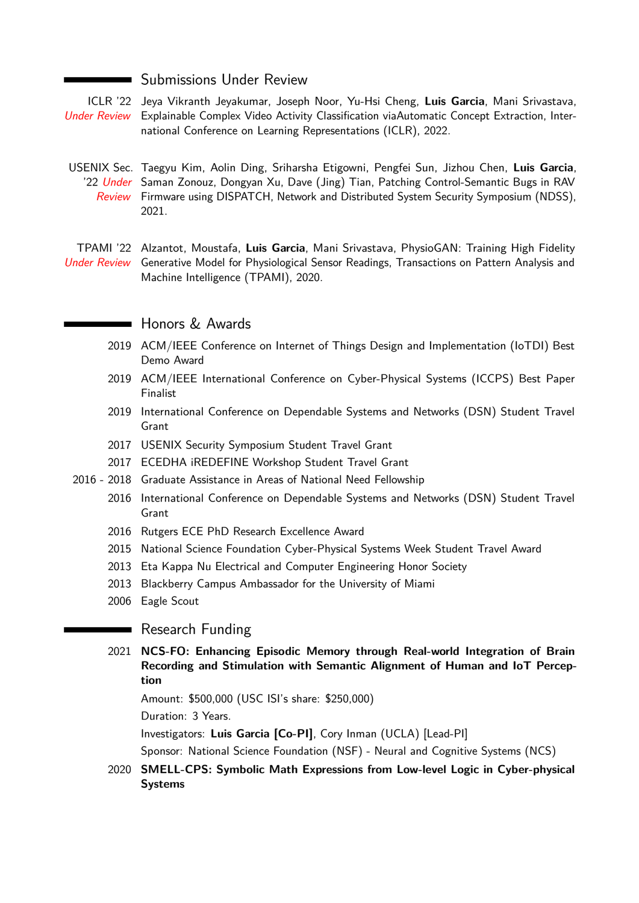## Submissions Under Review

ICLR '22 Jeya Vikranth Jeyakumar, Joseph Noor, Yu-Hsi Cheng, **Luis Garcia**, Mani Srivastava, Under Review Explainable Complex Video Activity Classification viaAutomatic Concept Extraction, International Conference on Learning Representations (ICLR), 2022.

USENIX Sec. Taegyu Kim, Aolin Ding, Sriharsha Etigowni, Pengfei Sun, Jizhou Chen, **Luis Garcia**, '22 Under Saman Zonouz, Dongyan Xu, Dave (Jing) Tian, Patching Control-Semantic Bugs in RAV Review Firmware using DISPATCH, Network and Distributed System Security Symposium (NDSS), 2021.

TPAMI '22 Alzantot, Moustafa, **Luis Garcia**, Mani Srivastava, PhysioGAN: Training High Fidelity Under Review Generative Model for Physiological Sensor Readings, Transactions on Pattern Analysis and Machine Intelligence (TPAMI), 2020.

# **Honors & Awards**

- 2019 ACM/IEEE Conference on Internet of Things Design and Implementation (IoTDI) Best Demo Award
- 2019 ACM/IEEE International Conference on Cyber-Physical Systems (ICCPS) Best Paper Finalist
- 2019 International Conference on Dependable Systems and Networks (DSN) Student Travel Grant
- 2017 USENIX Security Symposium Student Travel Grant
- 2017 ECEDHA iREDEFINE Workshop Student Travel Grant
- 2016 2018 Graduate Assistance in Areas of National Need Fellowship
	- 2016 International Conference on Dependable Systems and Networks (DSN) Student Travel Grant
	- 2016 Rutgers ECE PhD Research Excellence Award
	- 2015 National Science Foundation Cyber-Physical Systems Week Student Travel Award
	- 2013 Eta Kappa Nu Electrical and Computer Engineering Honor Society
	- 2013 Blackberry Campus Ambassador for the University of Miami
	- 2006 Eagle Scout

#### **Research Funding**

2021 **NCS-FO: Enhancing Episodic Memory through Real-world Integration of Brain Recording and Stimulation with Semantic Alignment of Human and IoT Perception**

Amount: \$500,000 (USC ISI's share: \$250,000)

Duration: 3 Years.

Investigators: **Luis Garcia [Co-PI]**, Cory Inman (UCLA) [Lead-PI]

Sponsor: National Science Foundation (NSF) - Neural and Cognitive Systems (NCS)

2020 **SMELL-CPS: Symbolic Math Expressions from Low-level Logic in Cyber-physical Systems**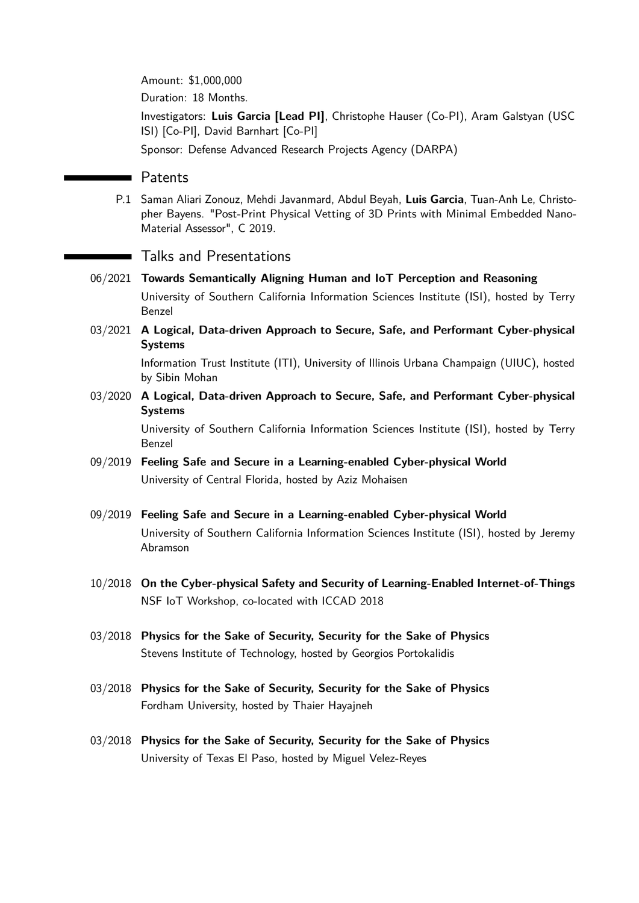Amount: \$1,000,000

Duration: 18 Months.

Investigators: **Luis Garcia [Lead PI]**, Christophe Hauser (Co-PI), Aram Galstyan (USC ISI) [Co-PI], David Barnhart [Co-PI]

Sponsor: Defense Advanced Research Projects Agency (DARPA)

## Patents

٠

P.1 Saman Aliari Zonouz, Mehdi Javanmard, Abdul Beyah, **Luis Garcia**, Tuan-Anh Le, Christopher Bayens. "Post-Print Physical Vetting of 3D Prints with Minimal Embedded Nano-Material Assessor", C 2019.

## Talks and Presentations

- 06/2021 **Towards Semantically Aligning Human and IoT Perception and Reasoning** University of Southern California Information Sciences Institute (ISI), hosted by Terry Benzel
- 03/2021 **A Logical, Data-driven Approach to Secure, Safe, and Performant Cyber-physical Systems**

Information Trust Institute (ITI), University of Illinois Urbana Champaign (UIUC), hosted by Sibin Mohan

03/2020 **A Logical, Data-driven Approach to Secure, Safe, and Performant Cyber-physical Systems**

> University of Southern California Information Sciences Institute (ISI), hosted by Terry Benzel

- 09/2019 **Feeling Safe and Secure in a Learning-enabled Cyber-physical World** University of Central Florida, hosted by Aziz Mohaisen
- 09/2019 **Feeling Safe and Secure in a Learning-enabled Cyber-physical World** University of Southern California Information Sciences Institute (ISI), hosted by Jeremy Abramson
- 10/2018 **On the Cyber-physical Safety and Security of Learning-Enabled Internet-of-Things** NSF IoT Workshop, co-located with ICCAD 2018
- 03/2018 **Physics for the Sake of Security, Security for the Sake of Physics** Stevens Institute of Technology, hosted by Georgios Portokalidis
- 03/2018 **Physics for the Sake of Security, Security for the Sake of Physics** Fordham University, hosted by Thaier Hayajneh
- 03/2018 **Physics for the Sake of Security, Security for the Sake of Physics** University of Texas El Paso, hosted by Miguel Velez-Reyes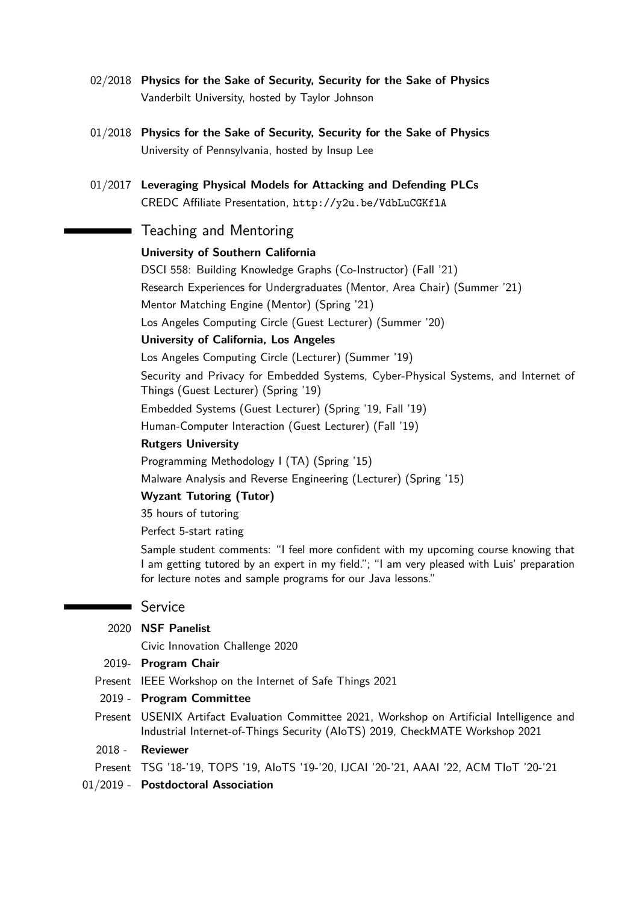- 02/2018 **Physics for the Sake of Security, Security for the Sake of Physics** Vanderbilt University, hosted by Taylor Johnson
- 01/2018 **Physics for the Sake of Security, Security for the Sake of Physics** University of Pennsylvania, hosted by Insup Lee
- 01/2017 **Leveraging Physical Models for Attacking and Defending PLCs** CREDC Affiliate Presentation, <http://y2u.be/VdbLuCGKflA>

# Teaching and Mentoring

## **University of Southern California**

DSCI 558: Building Knowledge Graphs (Co-Instructor) (Fall '21) Research Experiences for Undergraduates (Mentor, Area Chair) (Summer '21) Mentor Matching Engine (Mentor) (Spring '21) Los Angeles Computing Circle (Guest Lecturer) (Summer '20) **University of California, Los Angeles**

Los Angeles Computing Circle (Lecturer) (Summer '19)

Security and Privacy for Embedded Systems, Cyber-Physical Systems, and Internet of Things (Guest Lecturer) (Spring '19)

Embedded Systems (Guest Lecturer) (Spring '19, Fall '19)

Human-Computer Interaction (Guest Lecturer) (Fall '19)

#### **Rutgers University**

Programming Methodology I (TA) (Spring '15)

Malware Analysis and Reverse Engineering (Lecturer) (Spring '15)

#### **Wyzant Tutoring (Tutor)**

35 hours of tutoring

Perfect 5-start rating

Sample student comments: "I feel more confident with my upcoming course knowing that I am getting tutored by an expert in my field."; "I am very pleased with Luis' preparation for lecture notes and sample programs for our Java lessons."

#### **Service**

2020 **NSF Panelist**

Civic Innovation Challenge 2020

- 2019- **Program Chair**
- Present IEEE Workshop on the Internet of Safe Things 2021
- 2019 **Program Committee**
- Present USENIX Artifact Evaluation Committee 2021, Workshop on Artificial Intelligence and Industrial Internet-of-Things Security (AIoTS) 2019, CheckMATE Workshop 2021

2018 - **Reviewer**

Present TSG '18-'19, TOPS '19, AIoTS '19-'20, IJCAI '20-'21, AAAI '22, ACM TIoT '20-'21

01/2019 - **Postdoctoral Association**